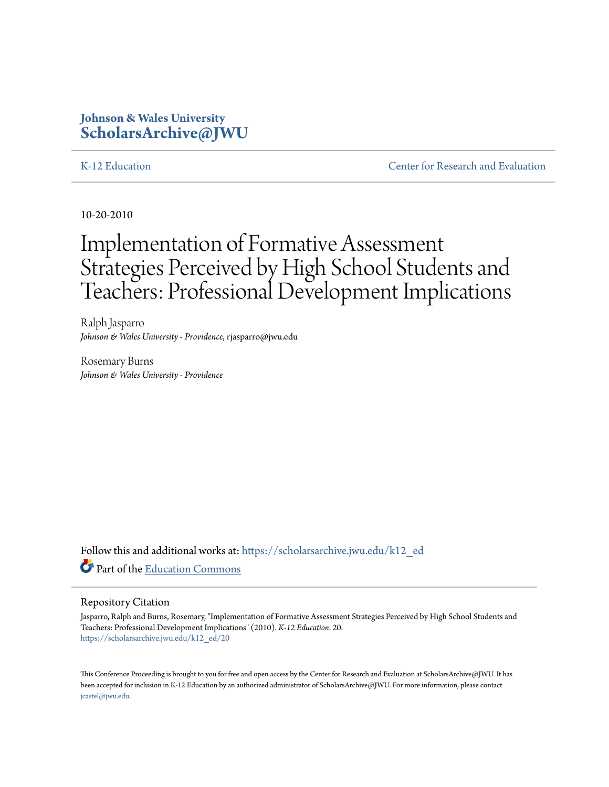### **Johnson & Wales University [ScholarsArchive@JWU](https://scholarsarchive.jwu.edu?utm_source=scholarsarchive.jwu.edu%2Fk12_ed%2F20&utm_medium=PDF&utm_campaign=PDFCoverPages)**

[K-12 Education](https://scholarsarchive.jwu.edu/k12_ed?utm_source=scholarsarchive.jwu.edu%2Fk12_ed%2F20&utm_medium=PDF&utm_campaign=PDFCoverPages) **[Center for Research and Evaluation](https://scholarsarchive.jwu.edu/research?utm_source=scholarsarchive.jwu.edu%2Fk12_ed%2F20&utm_medium=PDF&utm_campaign=PDFCoverPages)** 

10-20-2010

# Implementation of Formative Assessment Strategies Perceived by High School Students and Teachers: Professional Development Implications

Ralph Jasparro *Johnson & Wales University - Providence*, rjasparro@jwu.edu

Rosemary Burns *Johnson & Wales University - Providence*

Follow this and additional works at: [https://scholarsarchive.jwu.edu/k12\\_ed](https://scholarsarchive.jwu.edu/k12_ed?utm_source=scholarsarchive.jwu.edu%2Fk12_ed%2F20&utm_medium=PDF&utm_campaign=PDFCoverPages) Part of the [Education Commons](http://network.bepress.com/hgg/discipline/784?utm_source=scholarsarchive.jwu.edu%2Fk12_ed%2F20&utm_medium=PDF&utm_campaign=PDFCoverPages)

#### Repository Citation

Jasparro, Ralph and Burns, Rosemary, "Implementation of Formative Assessment Strategies Perceived by High School Students and Teachers: Professional Development Implications" (2010). *K-12 Education*. 20. [https://scholarsarchive.jwu.edu/k12\\_ed/20](https://scholarsarchive.jwu.edu/k12_ed/20?utm_source=scholarsarchive.jwu.edu%2Fk12_ed%2F20&utm_medium=PDF&utm_campaign=PDFCoverPages)

This Conference Proceeding is brought to you for free and open access by the Center for Research and Evaluation at ScholarsArchive@JWU. It has been accepted for inclusion in K-12 Education by an authorized administrator of ScholarsArchive@JWU. For more information, please contact [jcastel@jwu.edu.](mailto:jcastel@jwu.edu)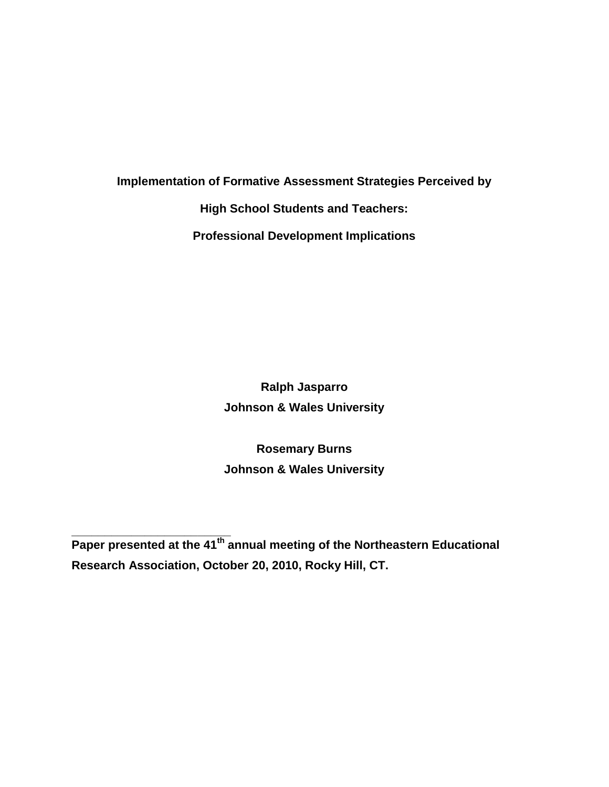**Implementation of Formative Assessment Strategies Perceived by** 

**High School Students and Teachers:** 

**Professional Development Implications**

**Ralph Jasparro Johnson & Wales University**

**Rosemary Burns Johnson & Wales University**

**\_\_\_\_\_\_\_\_\_\_\_\_\_\_\_\_\_\_\_\_\_\_\_\_ Paper presented at the 41th annual meeting of the Northeastern Educational Research Association, October 20, 2010, Rocky Hill, CT.**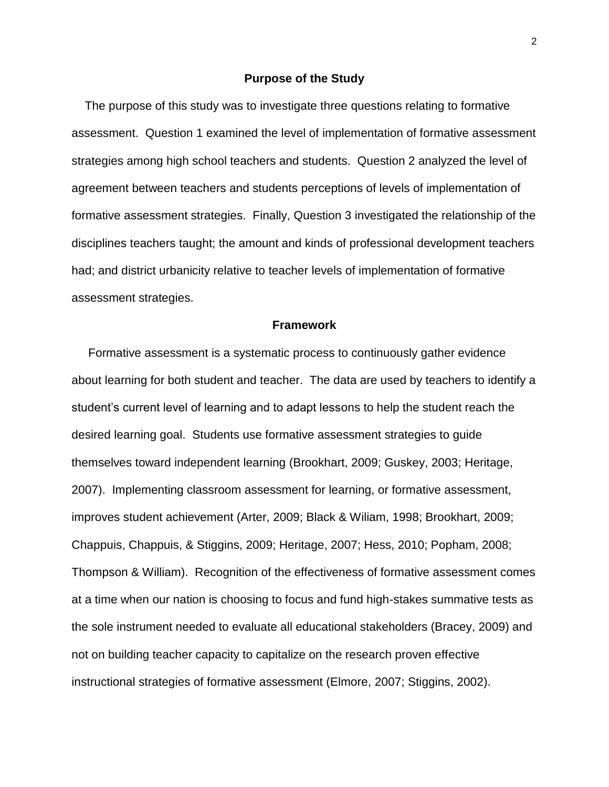### **Purpose of the Study**

 The purpose of this study was to investigate three questions relating to formative assessment. Question 1 examined the level of implementation of formative assessment strategies among high school teachers and students. Question 2 analyzed the level of agreement between teachers and students perceptions of levels of implementation of formative assessment strategies. Finally, Question 3 investigated the relationship of the disciplines teachers taught; the amount and kinds of professional development teachers had; and district urbanicity relative to teacher levels of implementation of formative assessment strategies.

### **Framework**

 Formative assessment is a systematic process to continuously gather evidence about learning for both student and teacher. The data are used by teachers to identify a student's current level of learning and to adapt lessons to help the student reach the desired learning goal. Students use formative assessment strategies to guide themselves toward independent learning (Brookhart, 2009; Guskey, 2003; Heritage, 2007). Implementing classroom assessment for learning, or formative assessment, improves student achievement (Arter, 2009; Black & Wiliam, 1998; Brookhart, 2009; Chappuis, Chappuis, & Stiggins, 2009; Heritage, 2007; Hess, 2010; Popham, 2008; Thompson & William). Recognition of the effectiveness of formative assessment comes at a time when our nation is choosing to focus and fund high-stakes summative tests as the sole instrument needed to evaluate all educational stakeholders (Bracey, 2009) and not on building teacher capacity to capitalize on the research proven effective instructional strategies of formative assessment (Elmore, 2007; Stiggins, 2002).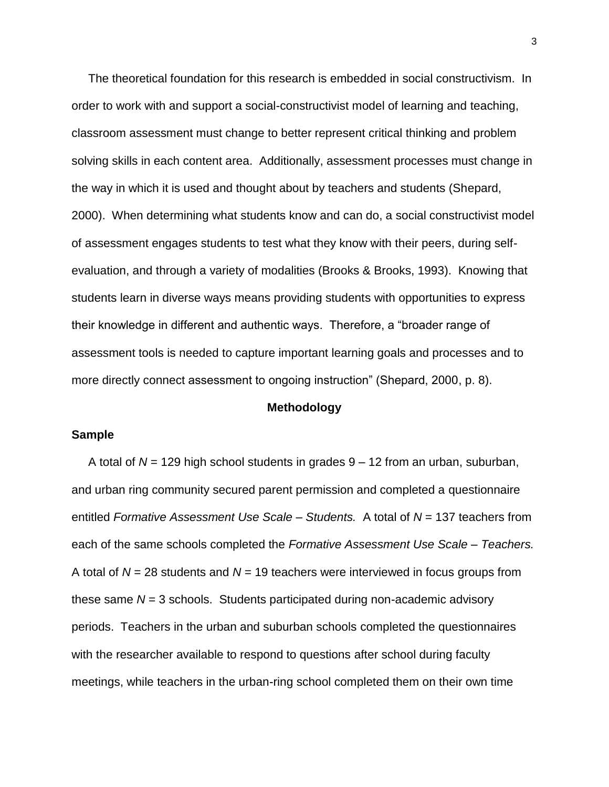The theoretical foundation for this research is embedded in social constructivism. In order to work with and support a social-constructivist model of learning and teaching, classroom assessment must change to better represent critical thinking and problem solving skills in each content area. Additionally, assessment processes must change in the way in which it is used and thought about by teachers and students (Shepard, 2000). When determining what students know and can do, a social constructivist model of assessment engages students to test what they know with their peers, during selfevaluation, and through a variety of modalities (Brooks & Brooks, 1993). Knowing that students learn in diverse ways means providing students with opportunities to express their knowledge in different and authentic ways. Therefore, a "broader range of assessment tools is needed to capture important learning goals and processes and to more directly connect assessment to ongoing instruction" (Shepard, 2000, p. 8).

### **Methodology**

### **Sample**

 A total of *N* = 129 high school students in grades 9 – 12 from an urban, suburban, and urban ring community secured parent permission and completed a questionnaire entitled *Formative Assessment Use Scale – Students.* A total of *N* = 137 teachers from each of the same schools completed the *Formative Assessment Use Scale – Teachers.*  A total of *N* = 28 students and *N* = 19 teachers were interviewed in focus groups from these same *N* = 3 schools. Students participated during non-academic advisory periods. Teachers in the urban and suburban schools completed the questionnaires with the researcher available to respond to questions after school during faculty meetings, while teachers in the urban-ring school completed them on their own time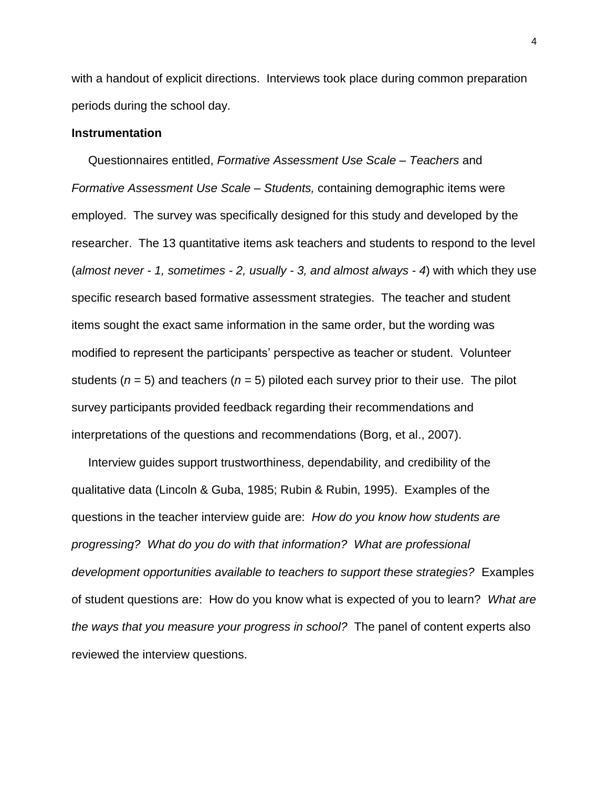with a handout of explicit directions. Interviews took place during common preparation periods during the school day.

### **Instrumentation**

 Questionnaires entitled, *Formative Assessment Use Scale – Teachers* and *Formative Assessment Use Scale – Students,* containing demographic items were employed. The survey was specifically designed for this study and developed by the researcher. The 13 quantitative items ask teachers and students to respond to the level (*almost never - 1, sometimes - 2, usually - 3, and almost always - 4*) with which they use specific research based formative assessment strategies. The teacher and student items sought the exact same information in the same order, but the wording was modified to represent the participants' perspective as teacher or student. Volunteer students (*n* = 5) and teachers (*n* = 5) piloted each survey prior to their use. The pilot survey participants provided feedback regarding their recommendations and interpretations of the questions and recommendations (Borg, et al., 2007).

 Interview guides support trustworthiness, dependability, and credibility of the qualitative data (Lincoln & Guba, 1985; Rubin & Rubin, 1995). Examples of the questions in the teacher interview guide are: *How do you know how students are progressing? What do you do with that information? What are professional development opportunities available to teachers to support these strategies?* Examples of student questions are: How do you know what is expected of you to learn? *What are the ways that you measure your progress in school?* The panel of content experts also reviewed the interview questions.

4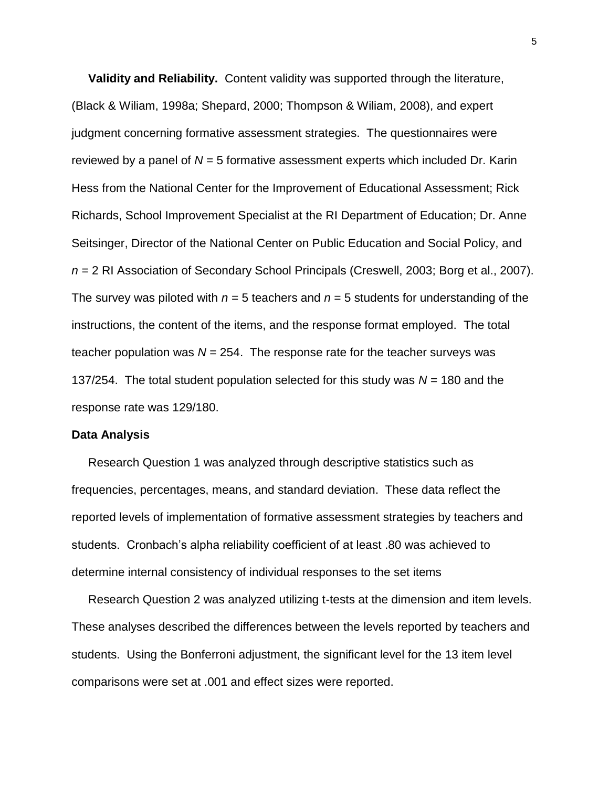**Validity and Reliability.** Content validity was supported through the literature, (Black & Wiliam, 1998a; Shepard, 2000; Thompson & Wiliam, 2008), and expert judgment concerning formative assessment strategies. The questionnaires were reviewed by a panel of *N* = 5 formative assessment experts which included Dr. Karin Hess from the National Center for the Improvement of Educational Assessment; Rick Richards, School Improvement Specialist at the RI Department of Education; Dr. Anne Seitsinger, Director of the National Center on Public Education and Social Policy, and *n* = 2 RI Association of Secondary School Principals (Creswell, 2003; Borg et al., 2007). The survey was piloted with  $n = 5$  teachers and  $n = 5$  students for understanding of the instructions, the content of the items, and the response format employed. The total teacher population was  $N = 254$ . The response rate for the teacher surveys was 137/254. The total student population selected for this study was *N* = 180 and the response rate was 129/180.

#### **Data Analysis**

 Research Question 1 was analyzed through descriptive statistics such as frequencies, percentages, means, and standard deviation. These data reflect the reported levels of implementation of formative assessment strategies by teachers and students. Cronbach's alpha reliability coefficient of at least .80 was achieved to determine internal consistency of individual responses to the set items

 Research Question 2 was analyzed utilizing t-tests at the dimension and item levels. These analyses described the differences between the levels reported by teachers and students. Using the Bonferroni adjustment, the significant level for the 13 item level comparisons were set at .001 and effect sizes were reported.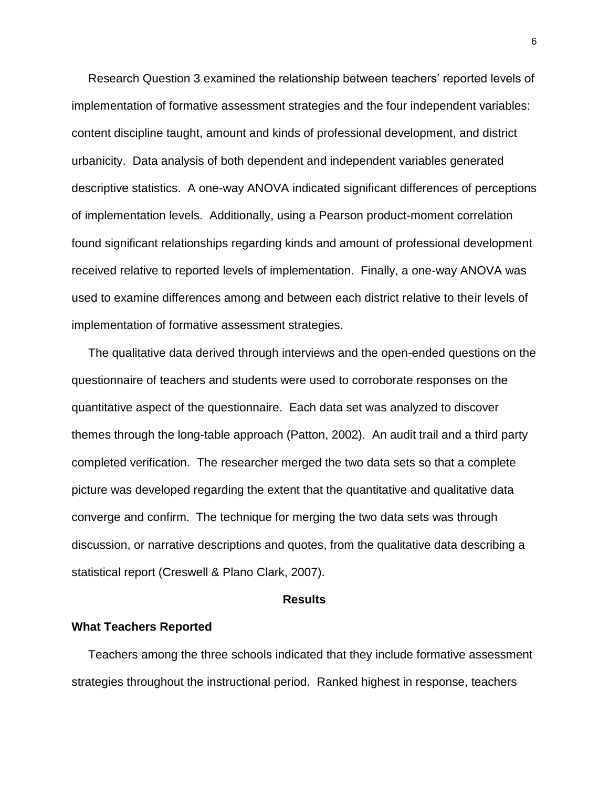Research Question 3 examined the relationship between teachers' reported levels of implementation of formative assessment strategies and the four independent variables: content discipline taught, amount and kinds of professional development, and district urbanicity. Data analysis of both dependent and independent variables generated descriptive statistics. A one-way ANOVA indicated significant differences of perceptions of implementation levels. Additionally, using a Pearson product-moment correlation found significant relationships regarding kinds and amount of professional development received relative to reported levels of implementation. Finally, a one-way ANOVA was used to examine differences among and between each district relative to their levels of implementation of formative assessment strategies.

 The qualitative data derived through interviews and the open-ended questions on the questionnaire of teachers and students were used to corroborate responses on the quantitative aspect of the questionnaire. Each data set was analyzed to discover themes through the long-table approach (Patton, 2002). An audit trail and a third party completed verification. The researcher merged the two data sets so that a complete picture was developed regarding the extent that the quantitative and qualitative data converge and confirm. The technique for merging the two data sets was through discussion, or narrative descriptions and quotes, from the qualitative data describing a statistical report (Creswell & Plano Clark, 2007).

#### **Results**

### **What Teachers Reported**

 Teachers among the three schools indicated that they include formative assessment strategies throughout the instructional period. Ranked highest in response, teachers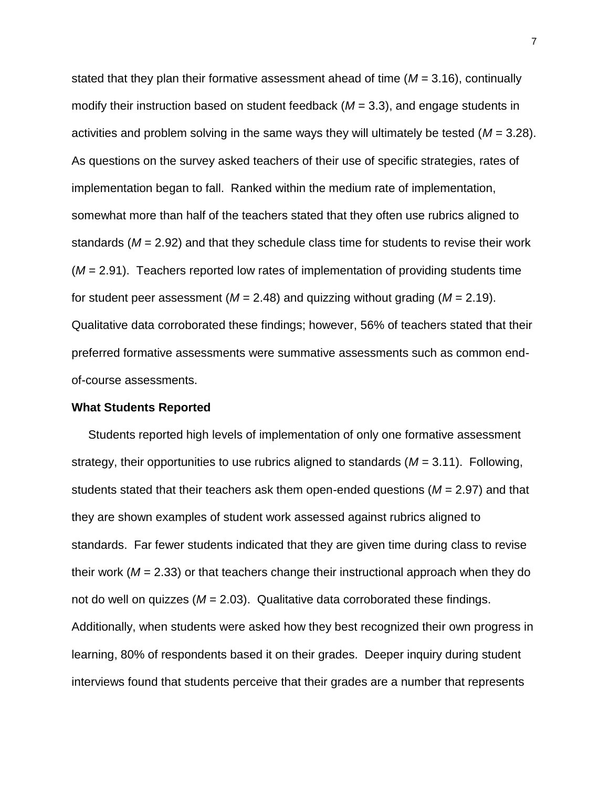stated that they plan their formative assessment ahead of time (*M* = 3.16), continually modify their instruction based on student feedback (*M* = 3.3), and engage students in activities and problem solving in the same ways they will ultimately be tested (*M* = 3.28). As questions on the survey asked teachers of their use of specific strategies, rates of implementation began to fall. Ranked within the medium rate of implementation, somewhat more than half of the teachers stated that they often use rubrics aligned to standards (*M* = 2.92) and that they schedule class time for students to revise their work (*M* = 2.91). Teachers reported low rates of implementation of providing students time for student peer assessment ( $M = 2.48$ ) and quizzing without grading ( $M = 2.19$ ). Qualitative data corroborated these findings; however, 56% of teachers stated that their preferred formative assessments were summative assessments such as common endof-course assessments.

### **What Students Reported**

 Students reported high levels of implementation of only one formative assessment strategy, their opportunities to use rubrics aligned to standards (*M* = 3.11). Following, students stated that their teachers ask them open-ended questions (*M* = 2.97) and that they are shown examples of student work assessed against rubrics aligned to standards. Far fewer students indicated that they are given time during class to revise their work (*M* = 2.33) or that teachers change their instructional approach when they do not do well on quizzes (*M* = 2.03). Qualitative data corroborated these findings. Additionally, when students were asked how they best recognized their own progress in learning, 80% of respondents based it on their grades. Deeper inquiry during student interviews found that students perceive that their grades are a number that represents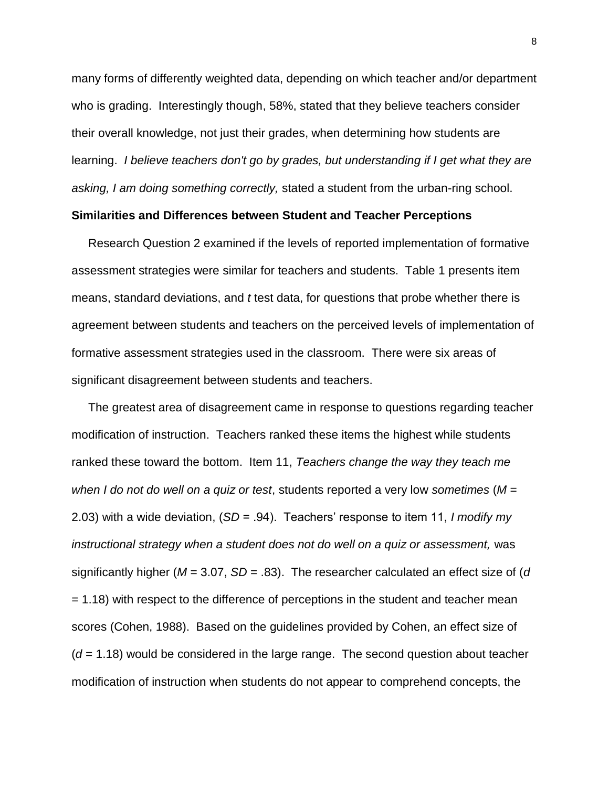many forms of differently weighted data, depending on which teacher and/or department who is grading. Interestingly though, 58%, stated that they believe teachers consider their overall knowledge, not just their grades, when determining how students are learning. *I believe teachers don't go by grades, but understanding if I get what they are asking, I am doing something correctly,* stated a student from the urban-ring school.

### **Similarities and Differences between Student and Teacher Perceptions**

 Research Question 2 examined if the levels of reported implementation of formative assessment strategies were similar for teachers and students. Table 1 presents item means, standard deviations, and *t* test data, for questions that probe whether there is agreement between students and teachers on the perceived levels of implementation of formative assessment strategies used in the classroom. There were six areas of significant disagreement between students and teachers.

 The greatest area of disagreement came in response to questions regarding teacher modification of instruction. Teachers ranked these items the highest while students ranked these toward the bottom. Item 11, *Teachers change the way they teach me when I do not do well on a quiz or test*, students reported a very low *sometimes* (*M* = 2.03) with a wide deviation, (*SD* = .94). Teachers' response to item 11, *I modify my instructional strategy when a student does not do well on a quiz or assessment,* was significantly higher (*M* = 3.07, *SD* = .83). The researcher calculated an effect size of (*d* = 1.18) with respect to the difference of perceptions in the student and teacher mean scores (Cohen, 1988). Based on the guidelines provided by Cohen, an effect size of (*d* = 1.18) would be considered in the large range. The second question about teacher modification of instruction when students do not appear to comprehend concepts, the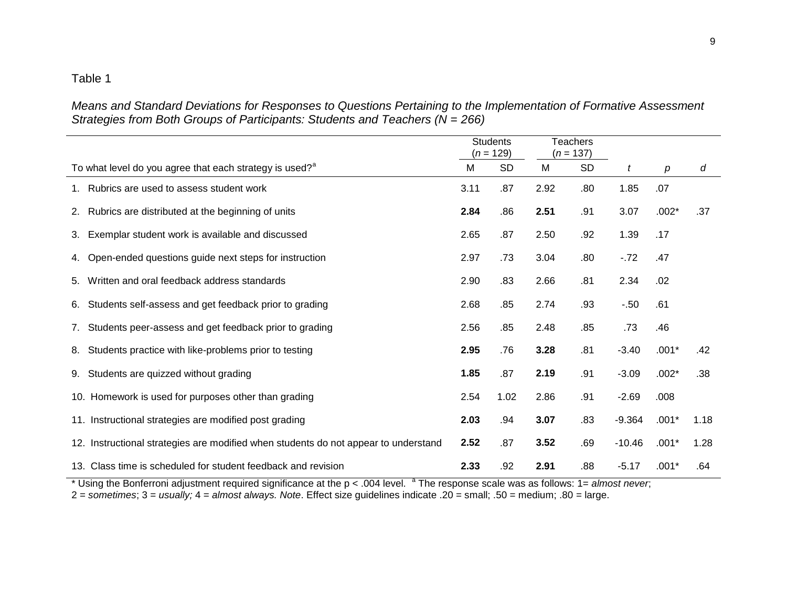*Means and Standard Deviations for Responses to Questions Pertaining to the Implementation of Formative Assessment Strategies from Both Groups of Participants: Students and Teachers (N = 266)*

|                                                                                     |      | <b>Students</b><br>$(n = 129)$ |      | <b>Teachers</b><br>$(n = 137)$ |          |                  |      |
|-------------------------------------------------------------------------------------|------|--------------------------------|------|--------------------------------|----------|------------------|------|
| To what level do you agree that each strategy is used? <sup>a</sup>                 | M    | <b>SD</b>                      | M    | <b>SD</b>                      | t        | $\boldsymbol{p}$ | d    |
| 1. Rubrics are used to assess student work                                          | 3.11 | .87                            | 2.92 | .80                            | 1.85     | .07              |      |
| 2. Rubrics are distributed at the beginning of units                                | 2.84 | .86                            | 2.51 | .91                            | 3.07     | $.002*$          | .37  |
| Exemplar student work is available and discussed<br>3.                              | 2.65 | .87                            | 2.50 | .92                            | 1.39     | .17              |      |
| 4. Open-ended questions guide next steps for instruction                            | 2.97 | .73                            | 3.04 | .80                            | $-72$    | .47              |      |
| Written and oral feedback address standards<br>5.                                   | 2.90 | .83                            | 2.66 | .81                            | 2.34     | .02              |      |
| Students self-assess and get feedback prior to grading<br>6.                        | 2.68 | .85                            | 2.74 | .93                            | $-.50$   | .61              |      |
| Students peer-assess and get feedback prior to grading<br>7.                        | 2.56 | .85                            | 2.48 | .85                            | .73      | .46              |      |
| Students practice with like-problems prior to testing<br>8.                         | 2.95 | .76                            | 3.28 | .81                            | $-3.40$  | $.001*$          | .42  |
| Students are quizzed without grading<br>9.                                          | 1.85 | .87                            | 2.19 | .91                            | $-3.09$  | $.002*$          | .38  |
| 10. Homework is used for purposes other than grading                                | 2.54 | 1.02                           | 2.86 | .91                            | $-2.69$  | .008             |      |
| 11. Instructional strategies are modified post grading                              | 2.03 | .94                            | 3.07 | .83                            | $-9.364$ | $.001*$          | 1.18 |
| 12. Instructional strategies are modified when students do not appear to understand | 2.52 | .87                            | 3.52 | .69                            | $-10.46$ | $.001*$          | 1.28 |
| 13. Class time is scheduled for student feedback and revision                       | 2.33 | .92                            | 2.91 | .88                            | $-5.17$  | $.001*$          | .64  |

\* Using the Bonferroni adjustment required significance at the p < .004 level. <sup>a</sup> The response scale was as follows: 1= *almost never*;

2 = *sometimes*; 3 = *usually;* 4 = *almost always. Note*. Effect size guidelines indicate .20 = small; .50 = medium; .80 = large.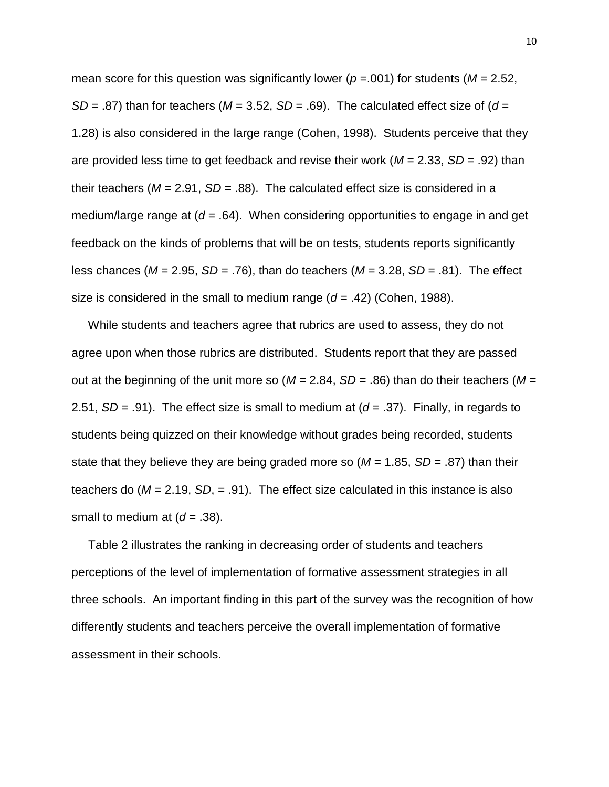mean score for this question was significantly lower ( $p = .001$ ) for students ( $M = 2.52$ , *SD* = .87) than for teachers ( $M = 3.52$ , *SD* = .69). The calculated effect size of ( $d =$ 1.28) is also considered in the large range (Cohen, 1998). Students perceive that they are provided less time to get feedback and revise their work (*M* = 2.33, *SD* = .92) than their teachers ( $M = 2.91$ ,  $SD = .88$ ). The calculated effect size is considered in a medium/large range at (*d* = .64). When considering opportunities to engage in and get feedback on the kinds of problems that will be on tests, students reports significantly less chances (*M* = 2.95, *SD* = .76), than do teachers (*M* = 3.28, *SD* = .81). The effect size is considered in the small to medium range (*d* = .42) (Cohen, 1988).

 While students and teachers agree that rubrics are used to assess, they do not agree upon when those rubrics are distributed. Students report that they are passed out at the beginning of the unit more so  $(M = 2.84, SD = .86)$  than do their teachers  $(M =$ 2.51,  $SD = .91$ ). The effect size is small to medium at  $(d = .37)$ . Finally, in regards to students being quizzed on their knowledge without grades being recorded, students state that they believe they are being graded more so  $(M = 1.85, SD = .87)$  than their teachers do (*M* = 2.19, *SD*, = .91). The effect size calculated in this instance is also small to medium at  $(d = .38)$ .

 Table 2 illustrates the ranking in decreasing order of students and teachers perceptions of the level of implementation of formative assessment strategies in all three schools. An important finding in this part of the survey was the recognition of how differently students and teachers perceive the overall implementation of formative assessment in their schools.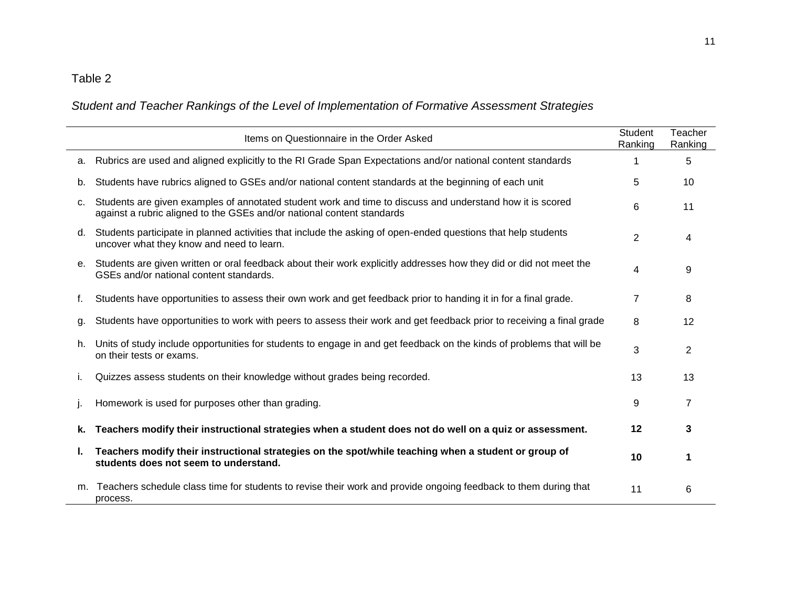## *Student and Teacher Rankings of the Level of Implementation of Formative Assessment Strategies*

|    | Items on Questionnaire in the Order Asked                                                                                                                                           | <b>Student</b><br>Ranking | Teacher<br>Ranking |
|----|-------------------------------------------------------------------------------------------------------------------------------------------------------------------------------------|---------------------------|--------------------|
| a. | Rubrics are used and aligned explicitly to the RI Grade Span Expectations and/or national content standards                                                                         |                           | 5                  |
| b. | Students have rubrics aligned to GSEs and/or national content standards at the beginning of each unit                                                                               | 5                         | 10                 |
| c. | Students are given examples of annotated student work and time to discuss and understand how it is scored<br>against a rubric aligned to the GSEs and/or national content standards | 6                         | 11                 |
| d. | Students participate in planned activities that include the asking of open-ended questions that help students<br>uncover what they know and need to learn.                          | $\overline{2}$            | 4                  |
| е. | Students are given written or oral feedback about their work explicitly addresses how they did or did not meet the<br>GSEs and/or national content standards.                       | 4                         | 9                  |
| f. | Students have opportunities to assess their own work and get feedback prior to handing it in for a final grade.                                                                     | $\overline{7}$            | 8                  |
| g. | Students have opportunities to work with peers to assess their work and get feedback prior to receiving a final grade                                                               | 8                         | 12                 |
| h. | Units of study include opportunities for students to engage in and get feedback on the kinds of problems that will be<br>on their tests or exams.                                   | 3                         | $\overline{2}$     |
| i. | Quizzes assess students on their knowledge without grades being recorded.                                                                                                           | 13                        | 13                 |
|    | Homework is used for purposes other than grading.                                                                                                                                   | 9                         | $\overline{7}$     |
| k. | Teachers modify their instructional strategies when a student does not do well on a quiz or assessment.                                                                             | 12                        | 3                  |
| L. | Teachers modify their instructional strategies on the spot/while teaching when a student or group of<br>students does not seem to understand.                                       | 10                        | 1                  |
| m. | Teachers schedule class time for students to revise their work and provide ongoing feedback to them during that<br>process.                                                         | 11                        | 6                  |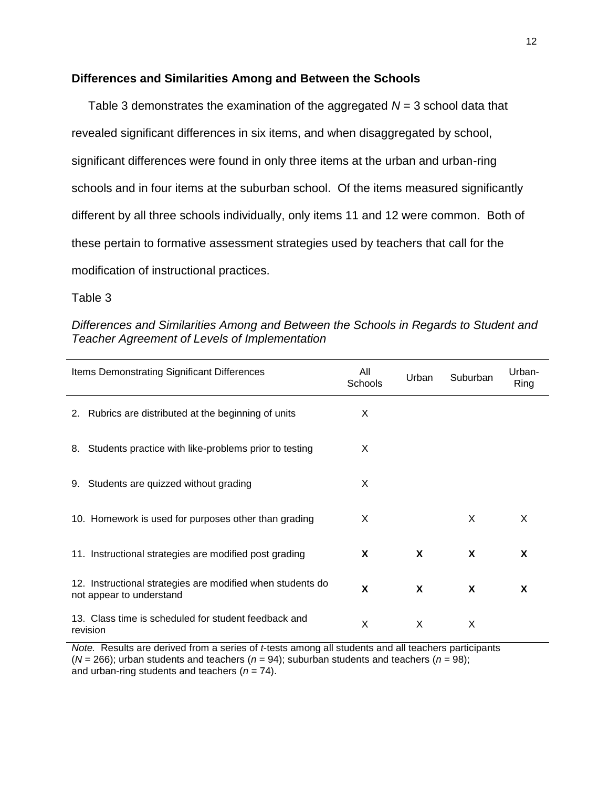### **Differences and Similarities Among and Between the Schools**

 Table 3 demonstrates the examination of the aggregated *N* = 3 school data that revealed significant differences in six items, and when disaggregated by school, significant differences were found in only three items at the urban and urban-ring schools and in four items at the suburban school. Of the items measured significantly different by all three schools individually, only items 11 and 12 were common. Both of these pertain to formative assessment strategies used by teachers that call for the modification of instructional practices.

Table 3

### *Differences and Similarities Among and Between the Schools in Regards to Student and Teacher Agreement of Levels of Implementation*

| Items Demonstrating Significant Differences                                            | All<br>Schools | Urban | Suburban | Urban-<br>Ring |
|----------------------------------------------------------------------------------------|----------------|-------|----------|----------------|
| 2. Rubrics are distributed at the beginning of units                                   | X              |       |          |                |
| 8. Students practice with like-problems prior to testing                               | X              |       |          |                |
| Students are quizzed without grading<br>9.                                             | X              |       |          |                |
| 10. Homework is used for purposes other than grading                                   | X              |       | X        | X              |
| 11. Instructional strategies are modified post grading                                 | X              | X     | X        | X              |
| 12. Instructional strategies are modified when students do<br>not appear to understand | X              | X     | X        | X              |
| 13. Class time is scheduled for student feedback and<br>revision                       | X              | X     | X        |                |

*Note.* Results are derived from a series of *t*-tests among all students and all teachers participants  $(N = 266)$ ; urban students and teachers  $(n = 94)$ ; suburban students and teachers  $(n = 98)$ ; and urban-ring students and teachers (*n* = 74).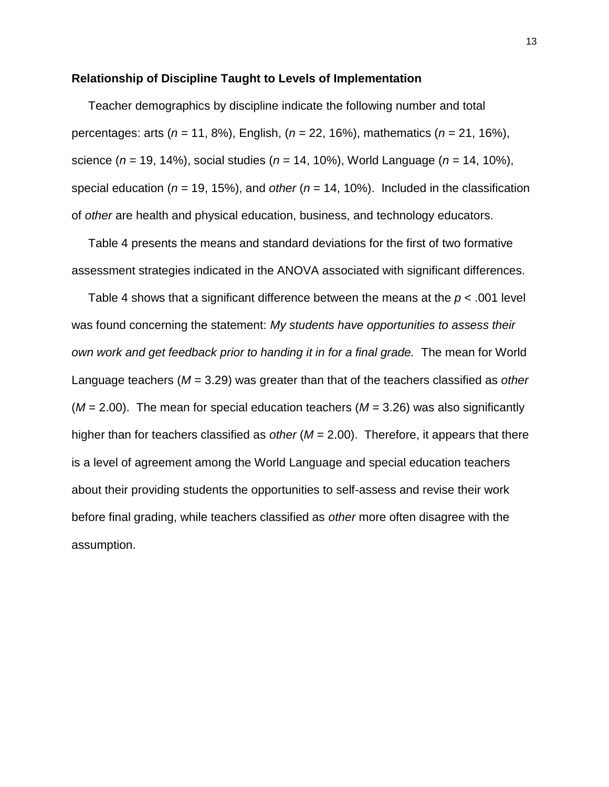#### **Relationship of Discipline Taught to Levels of Implementation**

Teacher demographics by discipline indicate the following number and total percentages: arts (*n* = 11, 8%), English, (*n* = 22, 16%), mathematics (*n* = 21, 16%), science (*n* = 19, 14%), social studies (*n* = 14, 10%), World Language (*n* = 14, 10%), special education (*n* = 19, 15%), and *other* (*n* = 14, 10%). Included in the classification of *other* are health and physical education, business, and technology educators.

 Table 4 presents the means and standard deviations for the first of two formative assessment strategies indicated in the ANOVA associated with significant differences.

 Table 4 shows that a significant difference between the means at the *p* < .001 level was found concerning the statement: *My students have opportunities to assess their own work and get feedback prior to handing it in for a final grade.* The mean for World Language teachers (*M* = 3.29) was greater than that of the teachers classified as *other* (*M* = 2.00). The mean for special education teachers (*M* = 3.26) was also significantly higher than for teachers classified as *other* (*M* = 2.00). Therefore, it appears that there is a level of agreement among the World Language and special education teachers about their providing students the opportunities to self-assess and revise their work before final grading, while teachers classified as *other* more often disagree with the assumption.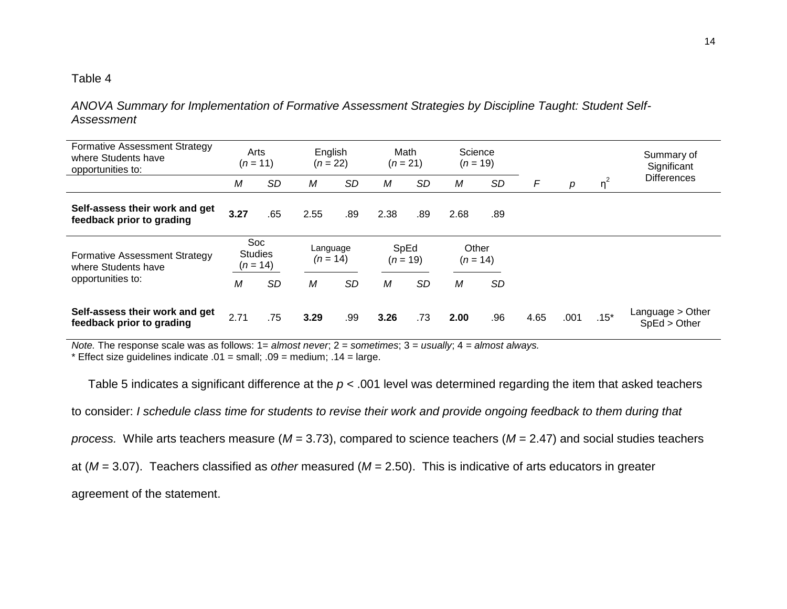*ANOVA Summary for Implementation of Formative Assessment Strategies by Discipline Taught: Student Self-Assessment*

| <b>Formative Assessment Strategy</b><br>where Students have<br>opportunities to: | Arts<br>$(n = 11)$    |           | English<br>$(n = 22)$ |           | Math<br>$(n = 21)$ |           | Science<br>$(n = 19)$ |           |   |   |          | Summary of<br>Significant |
|----------------------------------------------------------------------------------|-----------------------|-----------|-----------------------|-----------|--------------------|-----------|-----------------------|-----------|---|---|----------|---------------------------|
|                                                                                  | M                     | <b>SD</b> | <b>SD</b><br>Μ<br>M   |           |                    | <b>SD</b> | М                     | SD        | F | р | $\eta^2$ | <b>Differences</b>        |
| Self-assess their work and get<br>feedback prior to grading                      | 3.27                  | .65       | 2.55                  | .89       | 2.38               | .89       | 2.68                  | .89       |   |   |          |                           |
| <b>Formative Assessment Strategy</b>                                             | Soc<br><b>Studies</b> |           | Language              |           | SpEd               |           | Other                 |           |   |   |          |                           |
| where Students have                                                              | $(n = 14)$            |           | $(n = 14)$            |           | $(n = 19)$         |           | $(n = 14)$            |           |   |   |          |                           |
| opportunities to:                                                                | M                     | <b>SD</b> | М                     | <b>SD</b> | M                  | <b>SD</b> | М                     | <b>SD</b> |   |   |          |                           |

*Note.* The response scale was as follows: 1= *almost never*; 2 = *sometimes*; 3 = *usually*; 4 *= almost always.*

\* Effect size guidelines indicate  $.01$  = small;  $.09$  = medium;  $.14$  = large.

Table 5 indicates a significant difference at the *p* < .001 level was determined regarding the item that asked teachers to consider: *I schedule class time for students to revise their work and provide ongoing feedback to them during that process.* While arts teachers measure (*M* = 3.73), compared to science teachers (*M* = 2.47) and social studies teachers at (*M* = 3.07). Teachers classified as *other* measured (*M* = 2.50). This is indicative of arts educators in greater agreement of the statement.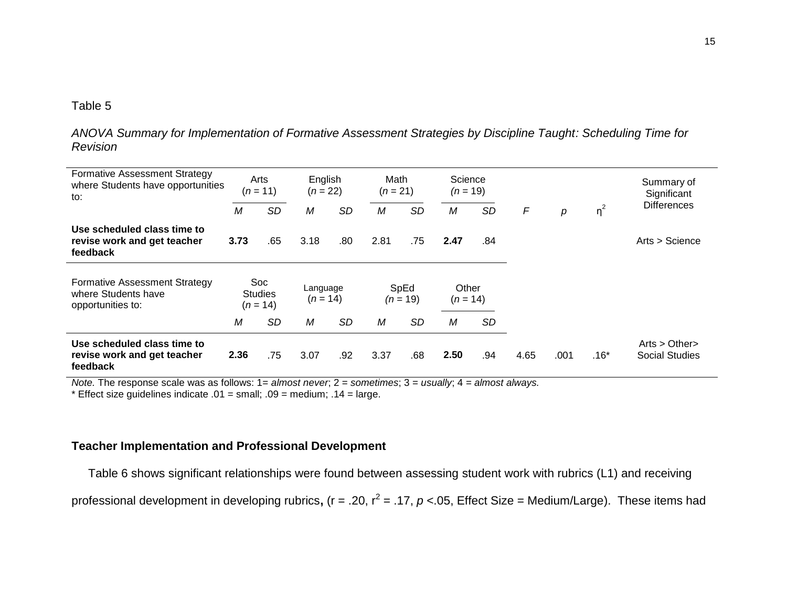*ANOVA Summary for Implementation of Formative Assessment Strategies by Discipline Taught: Scheduling Time for Revision*

| <b>Formative Assessment Strategy</b><br>where Students have opportunities<br>to: |      | Arts<br>$(n = 11)$                  | English<br>$(n = 22)$  |           | Math<br>$(n = 21)$ |           | Science<br>$(n = 19)$ |           |      |      |          | Summary of<br>Significant      |
|----------------------------------------------------------------------------------|------|-------------------------------------|------------------------|-----------|--------------------|-----------|-----------------------|-----------|------|------|----------|--------------------------------|
|                                                                                  | M    | <b>SD</b>                           | М                      | SD        | M                  | <b>SD</b> | М                     | <b>SD</b> | F    | р    | $\eta^2$ | <b>Differences</b>             |
| Use scheduled class time to<br>revise work and get teacher<br>feedback           | 3.73 | .65                                 | 3.18                   | .80       | 2.81               | .75       | 2.47                  | .84       |      |      |          | Arts > Science                 |
| <b>Formative Assessment Strategy</b><br>where Students have<br>opportunities to: |      | Soc<br><b>Studies</b><br>$(n = 14)$ | Language<br>$(n = 14)$ |           | SpEd<br>$(n = 19)$ |           | Other<br>$(n = 14)$   |           |      |      |          |                                |
|                                                                                  | M    | <b>SD</b>                           | М                      | <b>SD</b> | M                  | SD        | М                     | <b>SD</b> |      |      |          |                                |
| Use scheduled class time to<br>revise work and get teacher<br>feedback           | 2.36 | .75                                 | 3.07                   | .92       | 3.37               | .68       | 2.50                  | .94       | 4.65 | .001 | $.16*$   | Arts > Other<br>Social Studies |

*Note.* The response scale was as follows: 1= *almost never*; 2 = *sometimes*; 3 = *usually*; 4 *= almost always.*

\* Effect size guidelines indicate  $.01$  = small;  $.09$  = medium;  $.14$  = large.

### **Teacher Implementation and Professional Development**

Table 6 shows significant relationships were found between assessing student work with rubrics (L1) and receiving

professional development in developing rubrics, (r = .20, r<sup>2</sup> = .17, *p* <.05, Effect Size = Medium/Large). These items had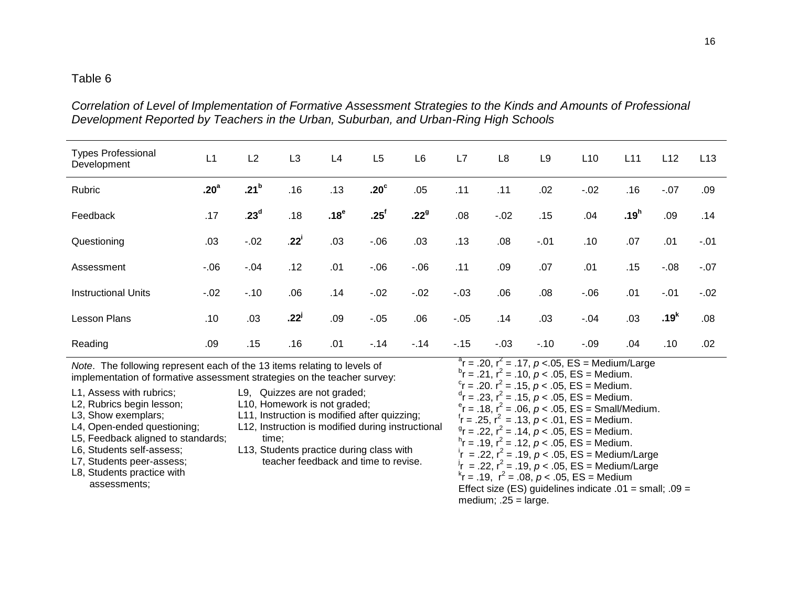*Correlation of Level of Implementation of Formative Assessment Strategies to the Kinds and Amounts of Professional Development Reported by Teachers in the Urban, Suburban, and Urban-Ring High Schools*

| <b>Types Professional</b><br>Development                                                                                                                                                                                                                                                                                                                                                                          | L1               | L2               | L <sub>3</sub>     | L4                                                                                                                                                                                                                                                                                                                                                                                                                                                                                                                                                                                                                                                                                                                                      | L <sub>5</sub>   | L <sub>6</sub>   | L7     | L <sub>8</sub> | L <sub>9</sub> | L10    | L11              | L12              | L13    |
|-------------------------------------------------------------------------------------------------------------------------------------------------------------------------------------------------------------------------------------------------------------------------------------------------------------------------------------------------------------------------------------------------------------------|------------------|------------------|--------------------|-----------------------------------------------------------------------------------------------------------------------------------------------------------------------------------------------------------------------------------------------------------------------------------------------------------------------------------------------------------------------------------------------------------------------------------------------------------------------------------------------------------------------------------------------------------------------------------------------------------------------------------------------------------------------------------------------------------------------------------------|------------------|------------------|--------|----------------|----------------|--------|------------------|------------------|--------|
| Rubric                                                                                                                                                                                                                                                                                                                                                                                                            | .20 <sup>a</sup> | .21 <sup>b</sup> | .16                | .13                                                                                                                                                                                                                                                                                                                                                                                                                                                                                                                                                                                                                                                                                                                                     | .20 <sup>c</sup> | .05              | .11    | .11            | .02            | $-.02$ | .16              | $-.07$           | .09    |
| Feedback                                                                                                                                                                                                                                                                                                                                                                                                          | .17              | .23 <sup>d</sup> | .18                | .18 <sup>e</sup>                                                                                                                                                                                                                                                                                                                                                                                                                                                                                                                                                                                                                                                                                                                        | .25 <sup>f</sup> | .22 <sup>9</sup> | .08    | $-.02$         | .15            | .04    | .19 <sup>h</sup> | .09              | .14    |
| Questioning                                                                                                                                                                                                                                                                                                                                                                                                       | .03              | $-.02$           | $.22^{\mathsf{i}}$ | .03                                                                                                                                                                                                                                                                                                                                                                                                                                                                                                                                                                                                                                                                                                                                     | $-.06$           | .03              | .13    | .08            | $-.01$         | .10    | .07              | .01              | $-.01$ |
| Assessment                                                                                                                                                                                                                                                                                                                                                                                                        | $-0.06$          | $-.04$           | .12                | .01                                                                                                                                                                                                                                                                                                                                                                                                                                                                                                                                                                                                                                                                                                                                     | $-06$            | $-06$            | .11    | .09            | .07            | .01    | .15              | $-0.08$          | $-.07$ |
| <b>Instructional Units</b>                                                                                                                                                                                                                                                                                                                                                                                        | $-02$            | $-.10$           | .06                | .14                                                                                                                                                                                                                                                                                                                                                                                                                                                                                                                                                                                                                                                                                                                                     | $-.02$           | $-0.02$          | $-.03$ | .06            | .08            | $-06$  | .01              | $-.01$           | $-.02$ |
| <b>Lesson Plans</b>                                                                                                                                                                                                                                                                                                                                                                                               | .10              | .03              | $.22^{j}$          | .09                                                                                                                                                                                                                                                                                                                                                                                                                                                                                                                                                                                                                                                                                                                                     | $-.05$           | .06              | $-.05$ | .14            | .03            | $-.04$ | .03              | .19 <sup>k</sup> | .08    |
| Reading                                                                                                                                                                                                                                                                                                                                                                                                           | .09              | .15              | .16                | .01                                                                                                                                                                                                                                                                                                                                                                                                                                                                                                                                                                                                                                                                                                                                     | $-14$            | $-14$            | $-15$  | $-03$          | $-.10$         | $-.09$ | .04              | .10              | .02    |
| Note. The following represent each of the 13 items relating to levels of<br>implementation of formative assessment strategies on the teacher survey:<br>L1, Assess with rubrics;<br>L2, Rubrics begin lesson;<br>L3, Show exemplars;<br>L4, Open-ended questioning;<br>L5, Feedback aligned to standards;<br>L6, Students self-assess;<br>L7, Students peer-assess;<br>L8, Students practice with<br>assessments; |                  |                  |                    | $^a$ r = .20, r <sup>2</sup> = .17, p < 05, ES = Medium/Large<br>$^{b}$ r = .21, r <sup>2</sup> = .10, $p < .05$ , ES = Medium.<br>$c_r = 0.20$ . $r^2 = 0.15$ , $p < 0.05$ , ES = Medium.<br>$dr$ = .23, $r^2$ = .15, $p < .05$ , ES = Medium.<br>$e^{\rm e}$ r = .18, r <sup>2</sup> = .06, p < .05, ES = Small/Medium.<br>$r = 0.25$ , $r^2 = 0.13$ , $p < 0.01$ , ES = Medium.<br>$^{9}$ r = .22, r <sup>2</sup> = .14, p < .05, ES = Medium.<br>$n_r$ = .19, $r^2$ = .12, $p < .05$ , ES = Medium.<br>= .22, $r^2$ = .19, $p < .05$ , ES = Medium/Large<br>= .22, $r^2$ = .19, $p < .05$ , ES = Medium/Large<br>$k_r = .19$ , $r^2 = .08$ , $p < .05$ , ES = Medium<br>Effect size (ES) guidelines indicate $.01$ = small; $.09$ = |                  |                  |        |                |                |        |                  |                  |        |

medium; .25 = large.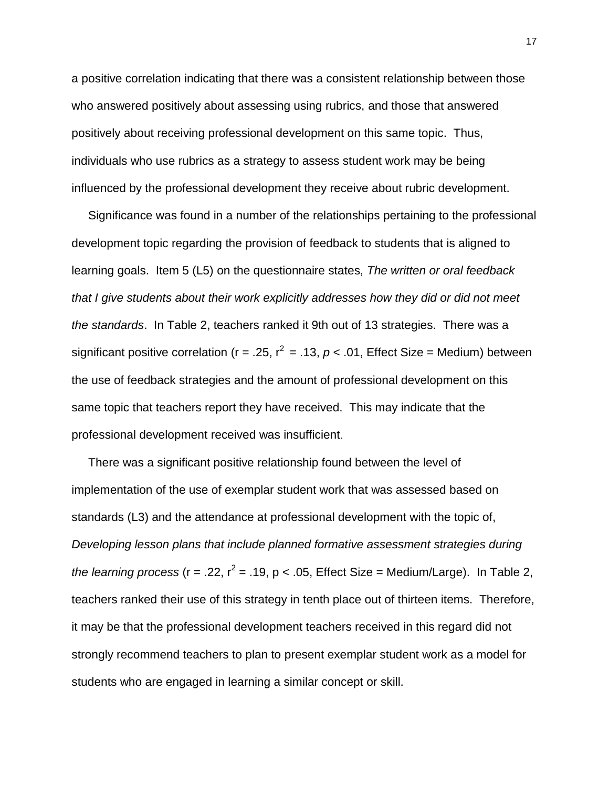a positive correlation indicating that there was a consistent relationship between those who answered positively about assessing using rubrics, and those that answered positively about receiving professional development on this same topic. Thus, individuals who use rubrics as a strategy to assess student work may be being influenced by the professional development they receive about rubric development.

 Significance was found in a number of the relationships pertaining to the professional development topic regarding the provision of feedback to students that is aligned to learning goals. Item 5 (L5) on the questionnaire states, *The written or oral feedback that I give students about their work explicitly addresses how they did or did not meet the standards*. In Table 2, teachers ranked it 9th out of 13 strategies. There was a significant positive correlation ( $r = 0.25$ ,  $r^2 = 0.13$ ,  $p < 0.01$ , Effect Size = Medium) between the use of feedback strategies and the amount of professional development on this same topic that teachers report they have received. This may indicate that the professional development received was insufficient.

 There was a significant positive relationship found between the level of implementation of the use of exemplar student work that was assessed based on standards (L3) and the attendance at professional development with the topic of, *Developing lesson plans that include planned formative assessment strategies during the learning process* ( $r = .22$ ,  $r^2 = .19$ ,  $p < .05$ , Effect Size = Medium/Large). In Table 2, teachers ranked their use of this strategy in tenth place out of thirteen items. Therefore, it may be that the professional development teachers received in this regard did not strongly recommend teachers to plan to present exemplar student work as a model for students who are engaged in learning a similar concept or skill.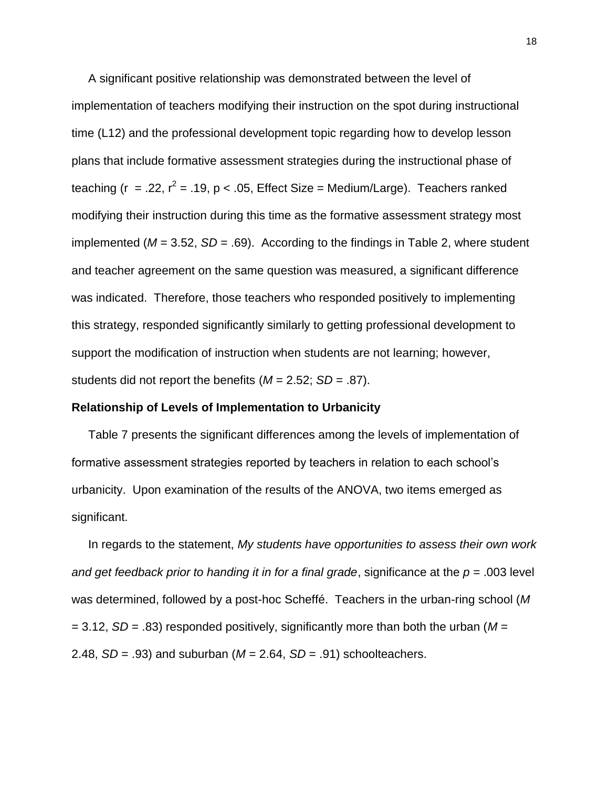A significant positive relationship was demonstrated between the level of implementation of teachers modifying their instruction on the spot during instructional time (L12) and the professional development topic regarding how to develop lesson plans that include formative assessment strategies during the instructional phase of teaching (r = .22,  $r^2$  = .19, p < .05, Effect Size = Medium/Large). Teachers ranked modifying their instruction during this time as the formative assessment strategy most implemented (*M* = 3.52, *SD* = .69). According to the findings in Table 2, where student and teacher agreement on the same question was measured, a significant difference was indicated. Therefore, those teachers who responded positively to implementing this strategy, responded significantly similarly to getting professional development to support the modification of instruction when students are not learning; however, students did not report the benefits (*M* = 2.52; *SD* = .87).

### **Relationship of Levels of Implementation to Urbanicity**

Table 7 presents the significant differences among the levels of implementation of formative assessment strategies reported by teachers in relation to each school's urbanicity. Upon examination of the results of the ANOVA, two items emerged as significant.

 In regards to the statement, *My students have opportunities to assess their own work and get feedback prior to handing it in for a final grade*, significance at the *p* = .003 level was determined, followed by a post-hoc Scheffé. Teachers in the urban-ring school (*M* = 3.12, *SD* = .83) responded positively, significantly more than both the urban (*M* = 2.48, *SD* = .93) and suburban (*M* = 2.64, *SD* = .91) schoolteachers.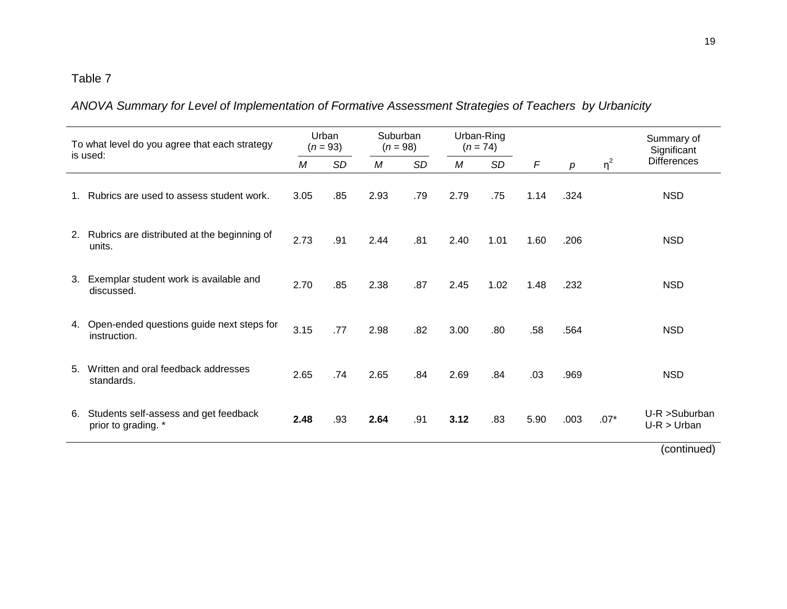*ANOVA Summary for Level of Implementation of Formative Assessment Strategies of Teachers by Urbanicity*

| To what level do you agree that each strategy<br>is used: |                                                              | Urban<br>$(n = 93)$ |           | Suburban<br>$(n = 98)$ |           | Urban-Ring<br>$(n = 74)$ |           |            |      |          | Summary of<br>Significant      |
|-----------------------------------------------------------|--------------------------------------------------------------|---------------------|-----------|------------------------|-----------|--------------------------|-----------|------------|------|----------|--------------------------------|
|                                                           |                                                              | М                   | <b>SD</b> | M                      | <b>SD</b> | М                        | <b>SD</b> | $\sqrt{2}$ | р    | $\eta^2$ | <b>Differences</b>             |
| $1_{\cdot}$                                               | Rubrics are used to assess student work.                     | 3.05                | .85       | 2.93                   | .79       | 2.79                     | .75       | 1.14       | .324 |          | <b>NSD</b>                     |
|                                                           | 2. Rubrics are distributed at the beginning of<br>units.     | 2.73                | .91       | 2.44                   | .81       | 2.40                     | 1.01      | 1.60       | .206 |          | <b>NSD</b>                     |
| 3.                                                        | Exemplar student work is available and<br>discussed.         | 2.70                | .85       | 2.38                   | .87       | 2.45                     | 1.02      | 1.48       | .232 |          | <b>NSD</b>                     |
|                                                           | 4. Open-ended questions guide next steps for<br>instruction. | 3.15                | .77       | 2.98                   | .82       | 3.00                     | .80       | .58        | .564 |          | <b>NSD</b>                     |
| 5.                                                        | Written and oral feedback addresses<br>standards.            | 2.65                | .74       | 2.65                   | .84       | 2.69                     | .84       | .03        | .969 |          | <b>NSD</b>                     |
| 6.                                                        | Students self-assess and get feedback<br>prior to grading. * | 2.48                | .93       | 2.64                   | .91       | 3.12                     | .83       | 5.90       | .003 | $.07*$   | U-R >Suburban<br>$U-R > Urban$ |

(continued)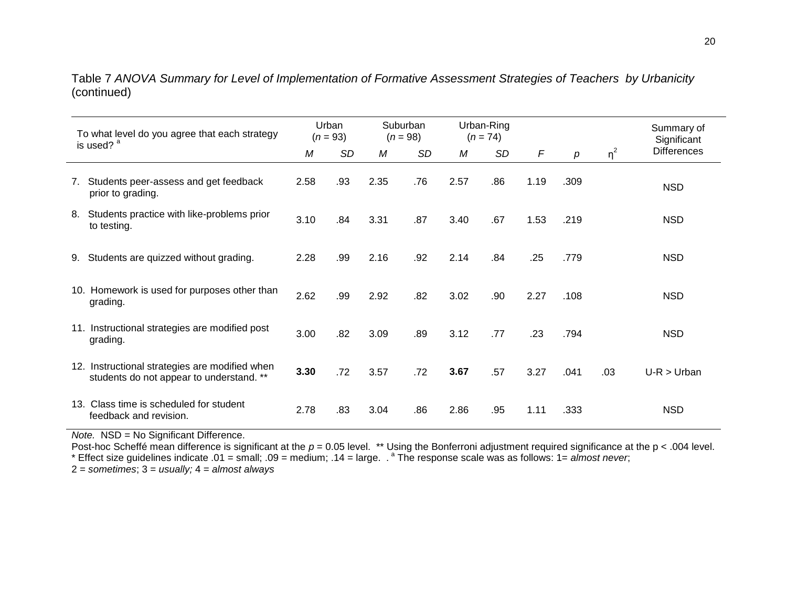Table 7 *ANOVA Summary for Level of Implementation of Formative Assessment Strategies of Teachers by Urbanicity*  (continued)

| To what level do you agree that each strategy<br>is used? <sup>a</sup> |                                                                                            |      | Urban<br>$(n = 93)$ |      | Suburban<br>$(n = 98)$ |      | Urban-Ring<br>$(n = 74)$ |            |      |          | Summary of<br>Significant |
|------------------------------------------------------------------------|--------------------------------------------------------------------------------------------|------|---------------------|------|------------------------|------|--------------------------|------------|------|----------|---------------------------|
|                                                                        |                                                                                            | M    | SD                  | М    | SD                     | М    | SD                       | $\sqrt{ }$ | p    | $\eta^2$ | <b>Differences</b>        |
|                                                                        | 7. Students peer-assess and get feedback<br>prior to grading.                              | 2.58 | .93                 | 2.35 | .76                    | 2.57 | .86                      | 1.19       | .309 |          | <b>NSD</b>                |
| 8.                                                                     | Students practice with like-problems prior<br>to testing.                                  | 3.10 | .84                 | 3.31 | .87                    | 3.40 | .67                      | 1.53       | .219 |          | <b>NSD</b>                |
| 9.                                                                     | Students are quizzed without grading.                                                      | 2.28 | .99                 | 2.16 | .92                    | 2.14 | .84                      | .25        | .779 |          | <b>NSD</b>                |
|                                                                        | 10. Homework is used for purposes other than<br>grading.                                   | 2.62 | .99                 | 2.92 | .82                    | 3.02 | .90                      | 2.27       | .108 |          | NSD                       |
|                                                                        | 11. Instructional strategies are modified post<br>grading.                                 | 3.00 | .82                 | 3.09 | .89                    | 3.12 | .77                      | .23        | .794 |          | <b>NSD</b>                |
|                                                                        | 12. Instructional strategies are modified when<br>students do not appear to understand. ** | 3.30 | .72                 | 3.57 | .72                    | 3.67 | .57                      | 3.27       | .041 | .03      | $U-R > Urban$             |
|                                                                        | 13. Class time is scheduled for student<br>feedback and revision.                          | 2.78 | .83                 | 3.04 | .86                    | 2.86 | .95                      | 1.11       | .333 |          | <b>NSD</b>                |

*Note.* NSD = No Significant Difference.

Post-hoc Scheffé mean difference is significant at the *p* = 0.05 level. \*\* Using the Bonferroni adjustment required significance at the p < .004 level. \* Effect size guidelines indicate .01 = small; .09 = medium; .14 = large. . <sup>a</sup> The response scale was as follows: 1= *almost never*;

2 = *sometimes*; 3 = *usually;* 4 = *almost always*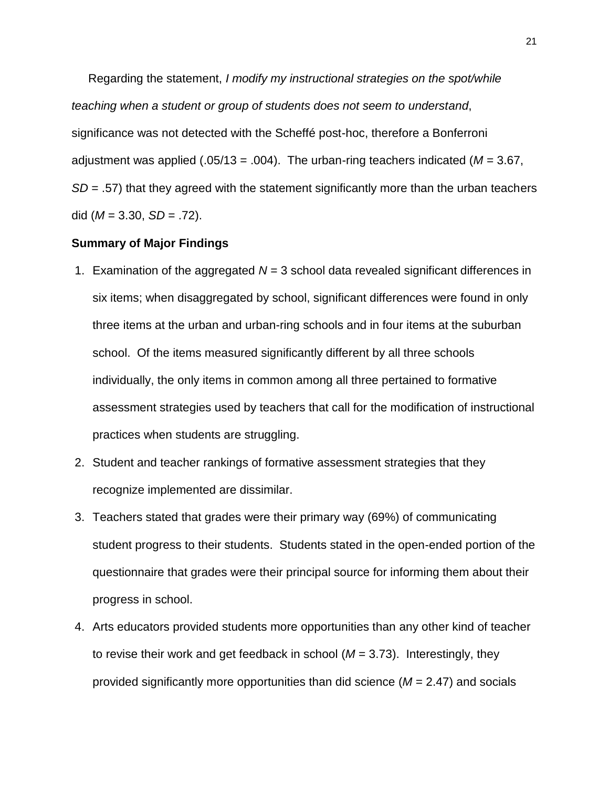Regarding the statement, *I modify my instructional strategies on the spot/while teaching when a student or group of students does not seem to understand*, significance was not detected with the Scheffé post-hoc, therefore a Bonferroni adjustment was applied (.05/13 = .004). The urban-ring teachers indicated (*M* = 3.67, *SD* = .57) that they agreed with the statement significantly more than the urban teachers did (*M* = 3.30, *SD* = .72).

### **Summary of Major Findings**

- 1. Examination of the aggregated *N* = 3 school data revealed significant differences in six items; when disaggregated by school, significant differences were found in only three items at the urban and urban-ring schools and in four items at the suburban school. Of the items measured significantly different by all three schools individually, the only items in common among all three pertained to formative assessment strategies used by teachers that call for the modification of instructional practices when students are struggling.
- 2. Student and teacher rankings of formative assessment strategies that they recognize implemented are dissimilar.
- 3. Teachers stated that grades were their primary way (69%) of communicating student progress to their students. Students stated in the open-ended portion of the questionnaire that grades were their principal source for informing them about their progress in school.
- 4. Arts educators provided students more opportunities than any other kind of teacher to revise their work and get feedback in school (*M* = 3.73). Interestingly, they provided significantly more opportunities than did science (*M* = 2.47) and socials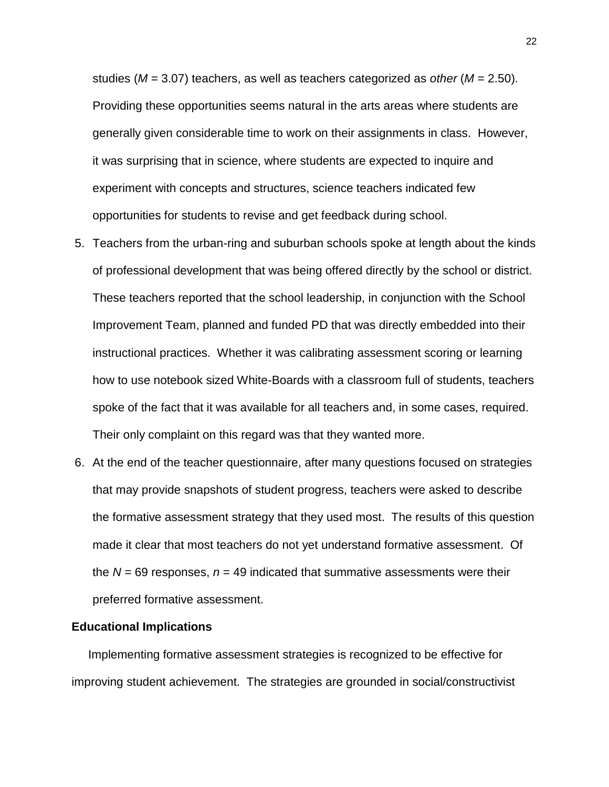studies (*M* = 3.07) teachers, as well as teachers categorized as *other* (*M* = 2.50)*.* Providing these opportunities seems natural in the arts areas where students are generally given considerable time to work on their assignments in class. However, it was surprising that in science, where students are expected to inquire and experiment with concepts and structures, science teachers indicated few opportunities for students to revise and get feedback during school.

- 5. Teachers from the urban-ring and suburban schools spoke at length about the kinds of professional development that was being offered directly by the school or district. These teachers reported that the school leadership, in conjunction with the School Improvement Team, planned and funded PD that was directly embedded into their instructional practices. Whether it was calibrating assessment scoring or learning how to use notebook sized White-Boards with a classroom full of students, teachers spoke of the fact that it was available for all teachers and, in some cases, required. Their only complaint on this regard was that they wanted more.
- 6. At the end of the teacher questionnaire, after many questions focused on strategies that may provide snapshots of student progress, teachers were asked to describe the formative assessment strategy that they used most. The results of this question made it clear that most teachers do not yet understand formative assessment. Of the  $N = 69$  responses,  $n = 49$  indicated that summative assessments were their preferred formative assessment.

### **Educational Implications**

 Implementing formative assessment strategies is recognized to be effective for improving student achievement. The strategies are grounded in social/constructivist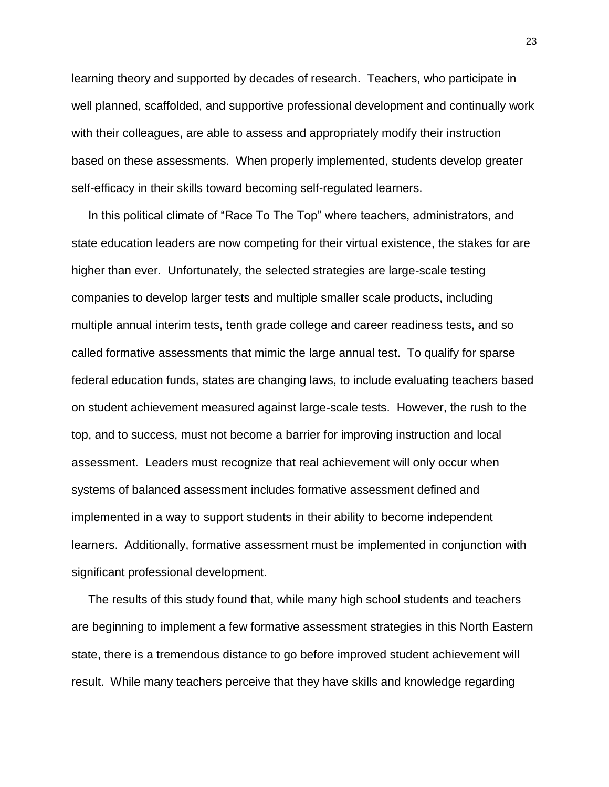learning theory and supported by decades of research. Teachers, who participate in well planned, scaffolded, and supportive professional development and continually work with their colleagues, are able to assess and appropriately modify their instruction based on these assessments. When properly implemented, students develop greater self-efficacy in their skills toward becoming self-regulated learners.

 In this political climate of "Race To The Top" where teachers, administrators, and state education leaders are now competing for their virtual existence, the stakes for are higher than ever. Unfortunately, the selected strategies are large-scale testing companies to develop larger tests and multiple smaller scale products, including multiple annual interim tests, tenth grade college and career readiness tests, and so called formative assessments that mimic the large annual test. To qualify for sparse federal education funds, states are changing laws, to include evaluating teachers based on student achievement measured against large-scale tests. However, the rush to the top, and to success, must not become a barrier for improving instruction and local assessment. Leaders must recognize that real achievement will only occur when systems of balanced assessment includes formative assessment defined and implemented in a way to support students in their ability to become independent learners. Additionally, formative assessment must be implemented in conjunction with significant professional development.

 The results of this study found that, while many high school students and teachers are beginning to implement a few formative assessment strategies in this North Eastern state, there is a tremendous distance to go before improved student achievement will result. While many teachers perceive that they have skills and knowledge regarding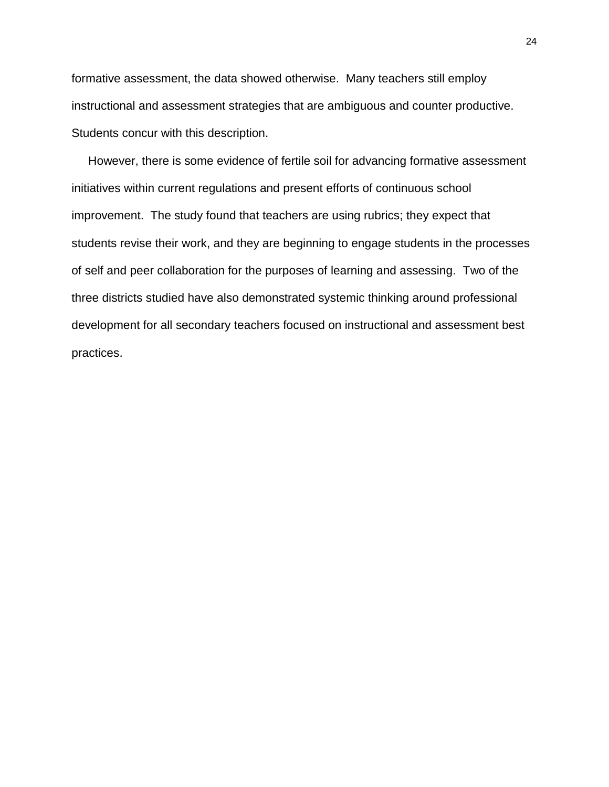formative assessment, the data showed otherwise. Many teachers still employ instructional and assessment strategies that are ambiguous and counter productive. Students concur with this description.

 However, there is some evidence of fertile soil for advancing formative assessment initiatives within current regulations and present efforts of continuous school improvement. The study found that teachers are using rubrics; they expect that students revise their work, and they are beginning to engage students in the processes of self and peer collaboration for the purposes of learning and assessing. Two of the three districts studied have also demonstrated systemic thinking around professional development for all secondary teachers focused on instructional and assessment best practices.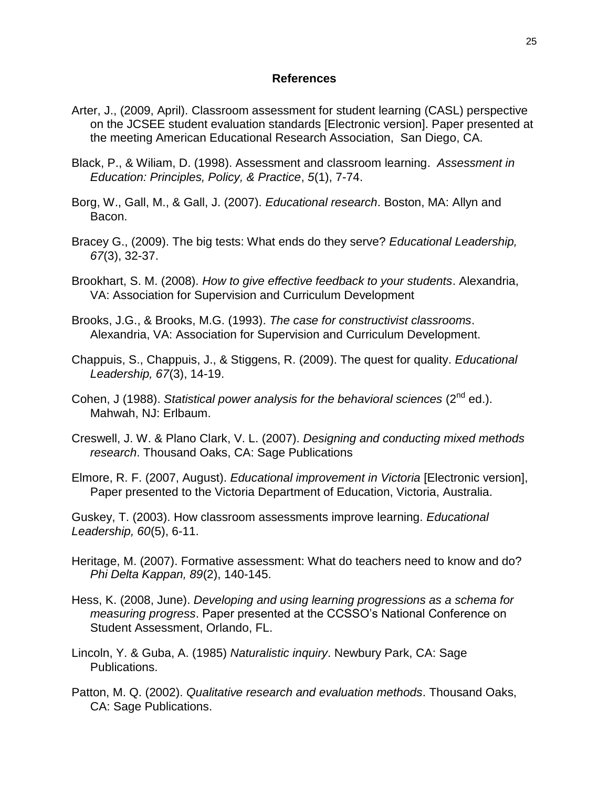### **References**

- Arter, J., (2009, April). Classroom assessment for student learning (CASL) perspective on the JCSEE student evaluation standards [Electronic version]. Paper presented at the meeting American Educational Research Association, San Diego, CA.
- Black, P., & Wiliam, D. (1998). Assessment and classroom learning. *Assessment in Education: Principles, Policy, & Practice*, *5*(1), 7-74.
- Borg, W., Gall, M., & Gall, J. (2007). *Educational research*. Boston, MA: Allyn and Bacon.
- Bracey G., (2009). The big tests: What ends do they serve? *Educational Leadership, 67*(3), 32-37.
- Brookhart, S. M. (2008). *How to give effective feedback to your students*. Alexandria, VA: Association for Supervision and Curriculum Development
- Brooks, J.G., & Brooks, M.G. (1993). *The case for constructivist classrooms*. Alexandria, VA: Association for Supervision and Curriculum Development.
- Chappuis, S., Chappuis, J., & Stiggens, R. (2009). The quest for quality. *Educational Leadership, 67*(3), 14-19.
- Cohen, J (1988). *Statistical power analysis for the behavioral sciences* (2<sup>nd</sup> ed.). Mahwah, NJ: Erlbaum.
- Creswell, J. W. & Plano Clark, V. L. (2007). *Designing and conducting mixed methods research*. Thousand Oaks, CA: Sage Publications
- Elmore, R. F. (2007, August). *Educational improvement in Victoria* [Electronic version], Paper presented to the Victoria Department of Education, Victoria, Australia.

Guskey, T. (2003). How classroom assessments improve learning. *Educational Leadership, 60*(5), 6-11.

- Heritage, M. (2007). Formative assessment: What do teachers need to know and do? *Phi Delta Kappan, 89*(2), 140-145.
- Hess, K. (2008, June). *Developing and using learning progressions as a schema for measuring progress*. Paper presented at the CCSSO's National Conference on Student Assessment, Orlando, FL.
- Lincoln, Y. & Guba, A. (1985) *Naturalistic inquiry*. Newbury Park, CA: Sage Publications.
- Patton, M. Q. (2002). *Qualitative research and evaluation methods*. Thousand Oaks, CA: Sage Publications.